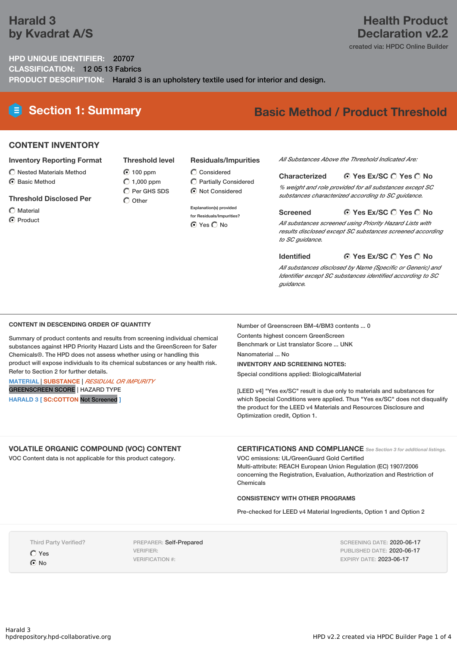# **Harald 3 by Kvadrat A/S**

# **Health Product Declaration v2.2**

created via: HPDC Online Builder

# **HPD UNIQUE IDENTIFIER:** 20707 **CLASSIFICATION:** 12 05 13 Fabrics **PRODUCT DESCRIPTION:** Harald 3 is an upholstery textile used for interior and design.

# **Section 1: Summary Basic Method / Product Threshold**

# **CONTENT INVENTORY**

## **Inventory Reporting Format**

- $\bigcirc$  Nested Materials Method
- **⊙** Basic Method

## **Threshold Disclosed Per**

- Material
- **⊙** Product

### **Residuals/Impurities**

**100 ppm**  $O$  1,000 ppm  $\bigcirc$  Considered

**Threshold level**

 $\overline{O}$  Per GHS SDS  $\bigcap$  Other

Partially Considered  $\odot$  Not Considered

#### **Explanation(s) provided**

**for Residuals/Impurities? O** Yes O No

#### *All Substances Above the Threshold Indicated Are:*

#### **Yes Ex/SC Yes No Characterized**

*% weight and role provided for all substances except SC substances characterized according to SC guidance.*

#### **Yes Ex/SC Yes No Screened**

*All substances screened using Priority Hazard Lists with results disclosed except SC substances screened according to SC guidance.*

#### **Yes Ex/SC Yes No Identified**

*All substances disclosed by Name (Specific or Generic) and Identifier except SC substances identified according to SC guidance.*

### **CONTENT IN DESCENDING ORDER OF QUANTITY**

Summary of product contents and results from screening individual chemical substances against HPD Priority Hazard Lists and the GreenScreen for Safer Chemicals®. The HPD does not assess whether using or handling this product will expose individuals to its chemical substances or any health risk. Refer to Section 2 for further details.

#### **MATERIAL** | **SUBSTANCE** | *RESIDUAL OR IMPURITY* GREENSCREEN SCORE | HAZARD TYPE

**HARALD 3 [ SC:COTTON** Not Screened **]**

Number of Greenscreen BM-4/BM3 contents ... 0 Contents highest concern GreenScreen

Benchmark or List translator Score ... UNK

Nanomaterial ... No

## **INVENTORY AND SCREENING NOTES:**

Special conditions applied: BiologicalMaterial

[LEED v4] "Yes ex/SC" result is due only to materials and substances for which Special Conditions were applied. Thus "Yes ex/SC" does not disqualify the product for the LEED v4 Materials and Resources Disclosure and Optimization credit, Option 1.

# **VOLATILE ORGANIC COMPOUND (VOC) CONTENT**

VOC Content data is not applicable for this product category.

**CERTIFICATIONS AND COMPLIANCE** *See Section <sup>3</sup> for additional listings.*

VOC emissions: UL/GreenGuard Gold Certified Multi-attribute: REACH European Union Regulation (EC) 1907/2006 concerning the Registration, Evaluation, Authorization and Restriction of Chemicals

### **CONSISTENCY WITH OTHER PROGRAMS**

Pre-checked for LEED v4 Material Ingredients, Option 1 and Option 2

Third Party Verified?

Yes

 $\odot$  No

PREPARER: Self-Prepared VERIFIER: VERIFICATION #:

SCREENING DATE: 2020-06-17 PUBLISHED DATE: 2020-06-17 EXPIRY DATE: 2023-06-17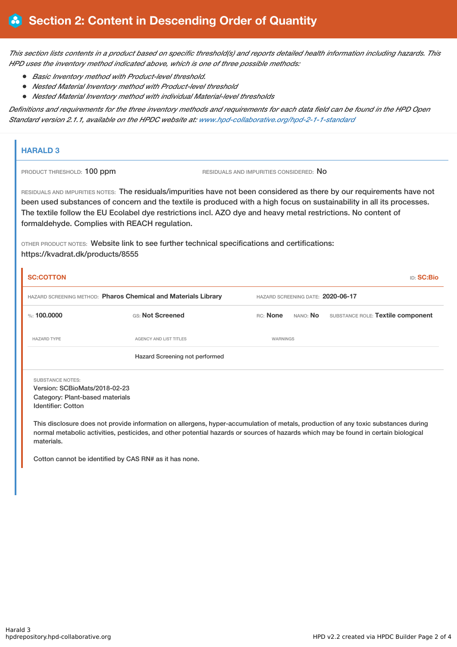This section lists contents in a product based on specific threshold(s) and reports detailed health information including hazards. This *HPD uses the inventory method indicated above, which is one of three possible methods:*

- *Basic Inventory method with Product-level threshold.*
- *Nested Material Inventory method with Product-level threshold*
- *Nested Material Inventory method with individual Material-level thresholds*

Definitions and requirements for the three inventory methods and requirements for each data field can be found in the HPD Open *Standard version 2.1.1, available on the HPDC website at: [www.hpd-collaborative.org/hpd-2-1-1-standard](https://www.hpd-collaborative.org/hpd-2-1-1-standard)*

## **HARALD 3**

PRODUCT THRESHOLD: 100 ppm RESIDUALS AND IMPURITIES CONSIDERED: No

RESIDUALS AND IMPURITIES NOTES: The residuals/impurities have not been considered as there by our requirements have not been used substances of concern and the textile is produced with a high focus on sustainability in all its processes. The textile follow the EU Ecolabel dye restrictions incl. AZO dye and heavy metal restrictions. No content of formaldehyde. Complies with REACH regulation.

OTHER PRODUCT NOTES: Website link to see further technical specifications and certifications: https://kvadrat.dk/products/8555

| <b>SC:COTTON</b>                                                                                                         |                                |                                   |  | <b>ID: SC:Bio</b>                          |
|--------------------------------------------------------------------------------------------------------------------------|--------------------------------|-----------------------------------|--|--------------------------------------------|
| HAZARD SCREENING METHOD: Pharos Chemical and Materials Library                                                           |                                | HAZARD SCREENING DATE: 2020-06-17 |  |                                            |
| %: $100,0000$                                                                                                            | GS: Not Screened               | RC: None                          |  | NANO: No SUBSTANCE ROLE: Textile component |
| <b>HAZARD TYPE</b>                                                                                                       | <b>AGENCY AND LIST TITLES</b>  | <b>WARNINGS</b>                   |  |                                            |
|                                                                                                                          | Hazard Screening not performed |                                   |  |                                            |
| <b>SUBSTANCE NOTES:</b><br>Version: SCBioMats/2018-02-23<br>Category: Plant-based materials<br><b>Identifier: Cotton</b> |                                |                                   |  |                                            |

This disclosure does not provide information on allergens, hyper-accumulation of metals, production of any toxic substances during normal metabolic activities, pesticides, and other potential hazards or sources of hazards which may be found in certain biological materials.

Cotton cannot be identified by CAS RN# as it has none.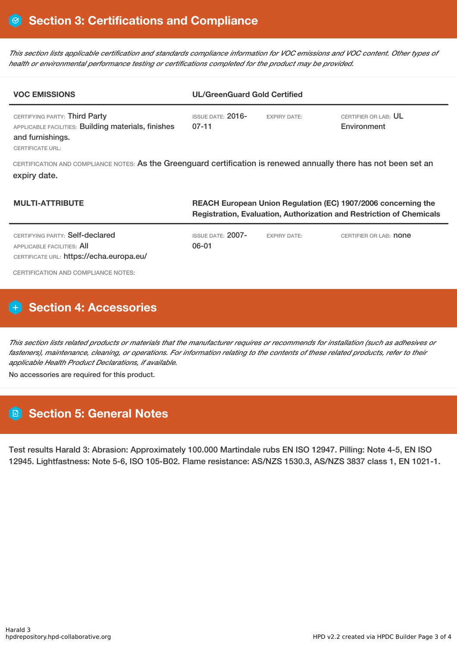This section lists applicable certification and standards compliance information for VOC emissions and VOC content. Other types of *health or environmental performance testing or certifications completed for the product may be provided.*

| <b>VOC EMISSIONS</b>                                                                                                                | <b>UL/GreenGuard Gold Certified</b> |                     |                                     |  |
|-------------------------------------------------------------------------------------------------------------------------------------|-------------------------------------|---------------------|-------------------------------------|--|
| CERTIFYING PARTY: Third Party<br>APPLICABLE FACILITIES: Building materials, finishes<br>and furnishings.<br><b>CERTIFICATE URL:</b> | $ISSUF$ DATE: $2016-$<br>$07 - 11$  | <b>EXPIRY DATE:</b> | CERTIFIER OR LAB: UL<br>Environment |  |
| CERTIFICATION AND COMPLIANCE NOTES: As the Greenguard certification is renewed annually there has not been set an<br>expiry date.   |                                     |                     |                                     |  |

| <b>MULTI-ATTRIBUTE</b>                                                                                    | REACH European Union Regulation (EC) 1907/2006 concerning the<br><b>Registration, Evaluation, Authorization and Restriction of Chemicals</b> |                     |                               |  |
|-----------------------------------------------------------------------------------------------------------|----------------------------------------------------------------------------------------------------------------------------------------------|---------------------|-------------------------------|--|
| CERTIFYING PARTY: Self-declared<br>APPLICABLE FACILITIES: AII<br>CERTIFICATE URL: https://echa.europa.eu/ | ISSUE DATE: $2007-$<br>06-01                                                                                                                 | <b>EXPIRY DATE:</b> | CERTIFIER OR LAB: <b>NONE</b> |  |
| CERTIFICATION AND COMPLIANCE NOTES:                                                                       |                                                                                                                                              |                     |                               |  |

# **H** Section 4: Accessories

This section lists related products or materials that the manufacturer requires or recommends for installation (such as adhesives or fasteners), maintenance, cleaning, or operations. For information relating to the contents of these related products, refer to their *applicable Health Product Declarations, if available.*

No accessories are required for this product.

# **Section 5: General Notes**

Test results Harald 3: Abrasion: Approximately 100.000 Martindale rubs EN ISO 12947. Pilling: Note 4-5, EN ISO 12945. Lightfastness: Note 5-6, ISO 105-B02. Flame resistance: AS/NZS 1530.3, AS/NZS 3837 class 1, EN 1021-1.